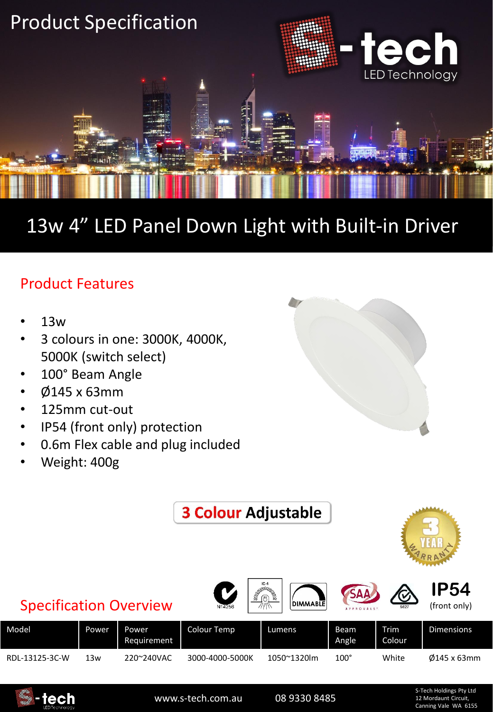

## 13w 4" LED Panel Down Light with Built-in Driver

## Product Features

- 13w
- 3 colours in one: 3000K, 4000K, 5000K (switch select)
- 100° Beam Angle
- Ø145 x 63mm
- 125mm cut-out
- IP54 (front only) protection
- 0.6m Flex cable and plug included
- Weight: 400g







www.s-tech.com.au 08 9330 8485

S-Tech Holdings Pty Ltd 12 Mordaunt Circuit, Canning Vale WA 6155